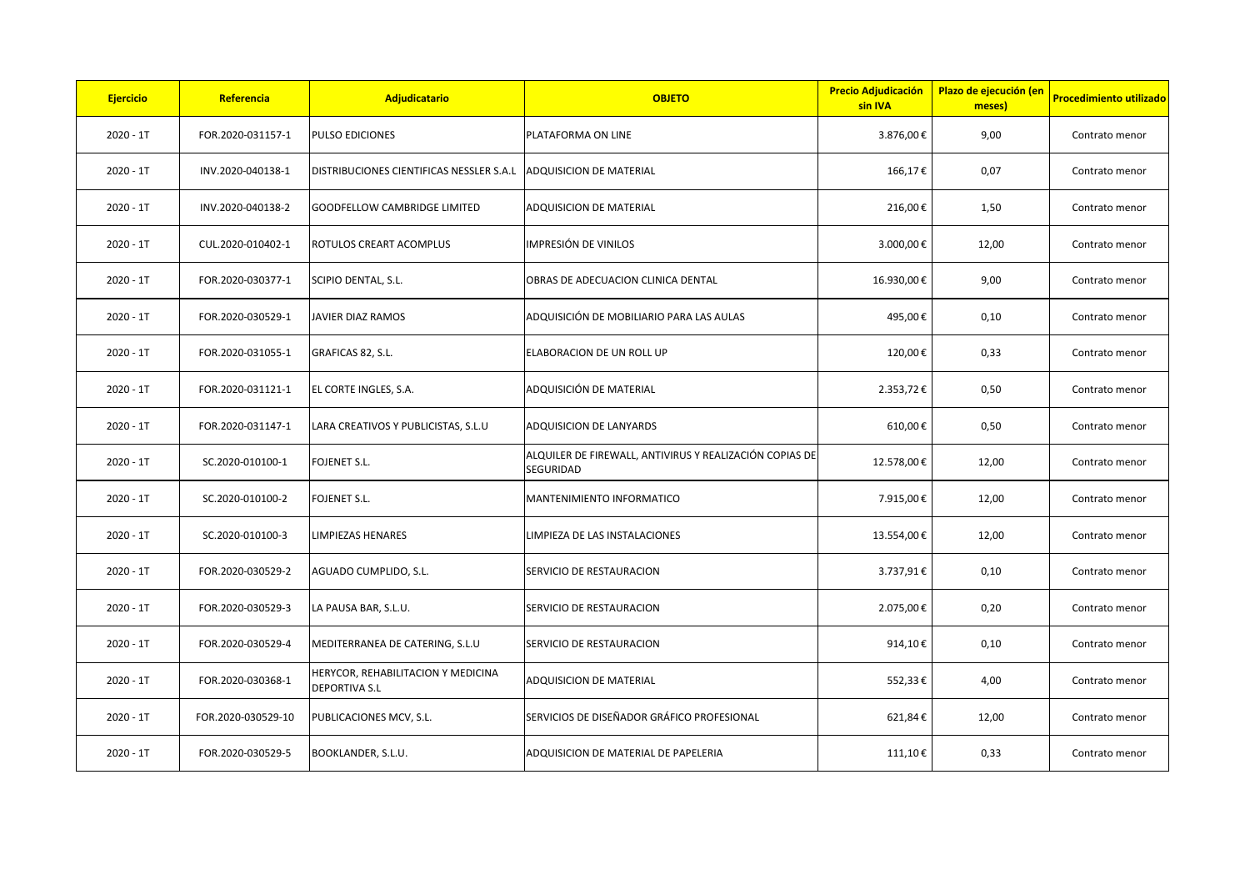| <b>Ejercicio</b> | Referencia         | Adjudicatario                                              | <b>OBJETO</b>                                                        | <b>Precio Adjudicación</b><br>sin IVA | Plazo de ejecución (en<br>meses) | <b>Procedimiento utilizado</b> |
|------------------|--------------------|------------------------------------------------------------|----------------------------------------------------------------------|---------------------------------------|----------------------------------|--------------------------------|
| $2020 - 1T$      | FOR.2020-031157-1  | <b>PULSO EDICIONES</b>                                     | PLATAFORMA ON LINE                                                   | 3.876,00€                             | 9,00                             | Contrato menor                 |
| $2020 - 1T$      | INV.2020-040138-1  | DISTRIBUCIONES CIENTIFICAS NESSLER S.A.L                   | <b>ADQUISICION DE MATERIAL</b>                                       | 166,17€                               | 0,07                             | Contrato menor                 |
| $2020 - 1T$      | INV.2020-040138-2  | <b>GOODFELLOW CAMBRIDGE LIMITED</b>                        | ADQUISICION DE MATERIAL                                              | 216,00€                               | 1,50                             | Contrato menor                 |
| $2020 - 1T$      | CUL.2020-010402-1  | ROTULOS CREART ACOMPLUS                                    | IMPRESIÓN DE VINILOS                                                 | 3.000,00€                             | 12,00                            | Contrato menor                 |
| $2020 - 1T$      | FOR.2020-030377-1  | SCIPIO DENTAL, S.L.                                        | OBRAS DE ADECUACION CLINICA DENTAL                                   | 16.930,00€                            | 9,00                             | Contrato menor                 |
| $2020 - 1T$      | FOR.2020-030529-1  | JAVIER DIAZ RAMOS                                          | ADQUISICIÓN DE MOBILIARIO PARA LAS AULAS                             | 495,00€                               | 0,10                             | Contrato menor                 |
| $2020 - 1T$      | FOR.2020-031055-1  | GRAFICAS 82, S.L.                                          | ELABORACION DE UN ROLL UP                                            | 120,00€                               | 0,33                             | Contrato menor                 |
| $2020 - 1T$      | FOR.2020-031121-1  | EL CORTE INGLES, S.A.                                      | ADQUISICIÓN DE MATERIAL                                              | 2.353,72€                             | 0,50                             | Contrato menor                 |
| $2020 - 1T$      | FOR.2020-031147-1  | LARA CREATIVOS Y PUBLICISTAS, S.L.U                        | ADQUISICION DE LANYARDS                                              | 610,00€                               | 0,50                             | Contrato menor                 |
| $2020 - 1T$      | SC.2020-010100-1   | FOJENET S.L.                                               | ALQUILER DE FIREWALL, ANTIVIRUS Y REALIZACIÓN COPIAS DE<br>SEGURIDAD | 12.578,00€                            | 12,00                            | Contrato menor                 |
| $2020 - 1T$      | SC.2020-010100-2   | FOJENET S.L.                                               | MANTENIMIENTO INFORMATICO                                            | 7.915,00€                             | 12,00                            | Contrato menor                 |
| $2020 - 1T$      | SC.2020-010100-3   | LIMPIEZAS HENARES                                          | LIMPIEZA DE LAS INSTALACIONES                                        | 13.554,00€                            | 12,00                            | Contrato menor                 |
| $2020 - 1T$      | FOR.2020-030529-2  | AGUADO CUMPLIDO, S.L.                                      | SERVICIO DE RESTAURACION                                             | 3.737,91€                             | 0,10                             | Contrato menor                 |
| $2020 - 1T$      | FOR.2020-030529-3  | LA PAUSA BAR, S.L.U.                                       | SERVICIO DE RESTAURACION                                             | 2.075,00€                             | 0,20                             | Contrato menor                 |
| $2020 - 1T$      | FOR.2020-030529-4  | MEDITERRANEA DE CATERING, S.L.U                            | SERVICIO DE RESTAURACION                                             | 914,10€                               | 0,10                             | Contrato menor                 |
| $2020 - 1T$      | FOR.2020-030368-1  | HERYCOR, REHABILITACION Y MEDICINA<br><b>DEPORTIVA S.L</b> | ADQUISICION DE MATERIAL                                              | 552,33€                               | 4,00                             | Contrato menor                 |
| $2020 - 1T$      | FOR.2020-030529-10 | PUBLICACIONES MCV, S.L.                                    | SERVICIOS DE DISEÑADOR GRÁFICO PROFESIONAL                           | 621,84€                               | 12,00                            | Contrato menor                 |
| $2020 - 1T$      | FOR.2020-030529-5  | BOOKLANDER, S.L.U.                                         | ADQUISICION DE MATERIAL DE PAPELERIA                                 | 111,10€                               | 0,33                             | Contrato menor                 |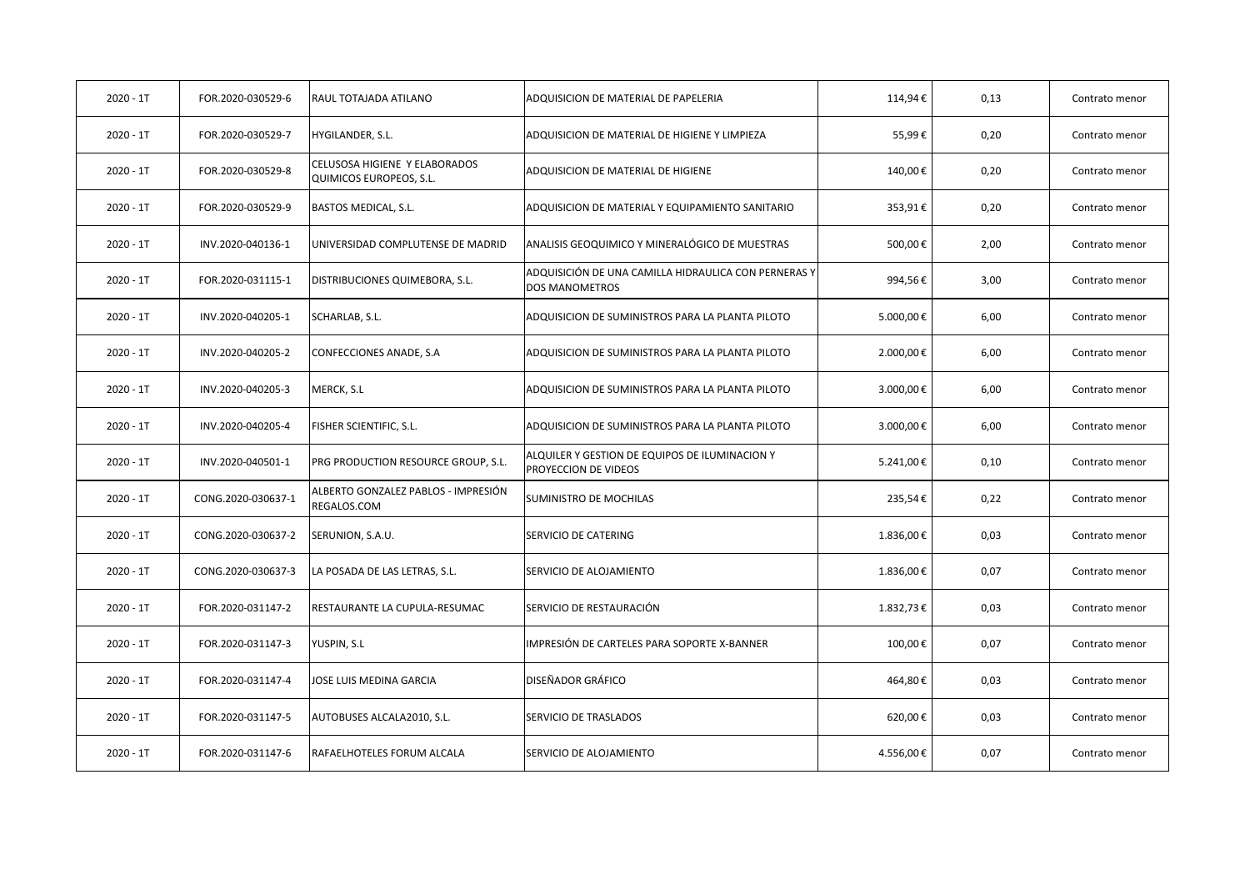| $2020 - 1T$ | FOR.2020-030529-6  | RAUL TOTAJADA ATILANO                                           | ADQUISICION DE MATERIAL DE PAPELERIA                                   | 114,94€   | 0,13 | Contrato menor |
|-------------|--------------------|-----------------------------------------------------------------|------------------------------------------------------------------------|-----------|------|----------------|
| $2020 - 1T$ | FOR.2020-030529-7  | HYGILANDER, S.L.                                                | ADQUISICION DE MATERIAL DE HIGIENE Y LIMPIEZA                          | 55,99€    | 0,20 | Contrato menor |
| $2020 - 1T$ | FOR.2020-030529-8  | CELUSOSA HIGIENE Y ELABORADOS<br><b>QUIMICOS EUROPEOS, S.L.</b> | ADQUISICION DE MATERIAL DE HIGIENE                                     | 140,00€   | 0,20 | Contrato menor |
| $2020 - 1T$ | FOR.2020-030529-9  | <b>BASTOS MEDICAL, S.L.</b>                                     | ADQUISICION DE MATERIAL Y EQUIPAMIENTO SANITARIO                       | 353,91€   | 0,20 | Contrato menor |
| $2020 - 1T$ | INV.2020-040136-1  | UNIVERSIDAD COMPLUTENSE DE MADRID                               | ANALISIS GEOQUIMICO Y MINERALÓGICO DE MUESTRAS                         | 500,00€   | 2,00 | Contrato menor |
| $2020 - 1T$ | FOR.2020-031115-1  | DISTRIBUCIONES QUIMEBORA, S.L.                                  | ADQUISICIÓN DE UNA CAMILLA HIDRAULICA CON PERNERAS Y<br>DOS MANOMETROS | 994,56€   | 3,00 | Contrato menor |
| $2020 - 1T$ | INV.2020-040205-1  | SCHARLAB, S.L.                                                  | ADQUISICION DE SUMINISTROS PARA LA PLANTA PILOTO                       | 5.000,00€ | 6,00 | Contrato menor |
| $2020 - 1T$ | INV.2020-040205-2  | CONFECCIONES ANADE, S.A                                         | ADQUISICION DE SUMINISTROS PARA LA PLANTA PILOTO                       | 2.000,00€ | 6,00 | Contrato menor |
| $2020 - 1T$ | INV.2020-040205-3  | MERCK, S.L                                                      | ADQUISICION DE SUMINISTROS PARA LA PLANTA PILOTO                       | 3.000,00€ | 6,00 | Contrato menor |
| $2020 - 1T$ | INV.2020-040205-4  | FISHER SCIENTIFIC, S.L.                                         | ADQUISICION DE SUMINISTROS PARA LA PLANTA PILOTO                       | 3.000,00€ | 6,00 | Contrato menor |
| $2020 - 1T$ | INV.2020-040501-1  | PRG PRODUCTION RESOURCE GROUP, S.L.                             | ALQUILER Y GESTION DE EQUIPOS DE ILUMINACION Y<br>PROYECCION DE VIDEOS | 5.241,00€ | 0,10 | Contrato menor |
| $2020 - 1T$ | CONG.2020-030637-1 | ALBERTO GONZALEZ PABLOS - IMPRESIÓN<br>REGALOS.COM              | SUMINISTRO DE MOCHILAS                                                 | 235,54€   | 0,22 | Contrato menor |
| $2020 - 1T$ | CONG.2020-030637-2 | SERUNION, S.A.U.                                                | SERVICIO DE CATERING                                                   | 1.836,00€ | 0,03 | Contrato menor |
| $2020 - 1T$ | CONG.2020-030637-3 | LA POSADA DE LAS LETRAS, S.L.                                   | SERVICIO DE ALOJAMIENTO                                                | 1.836,00€ | 0,07 | Contrato menor |
| $2020 - 1T$ | FOR.2020-031147-2  | RESTAURANTE LA CUPULA-RESUMAC                                   | SERVICIO DE RESTAURACIÓN                                               | 1.832,73€ | 0,03 | Contrato menor |
| $2020 - 1T$ | FOR.2020-031147-3  | YUSPIN, S.L                                                     | IMPRESIÓN DE CARTELES PARA SOPORTE X-BANNER                            | 100,00€   | 0,07 | Contrato menor |
| $2020 - 1T$ | FOR.2020-031147-4  | JOSE LUIS MEDINA GARCIA                                         | DISEÑADOR GRÁFICO                                                      | 464,80€   | 0,03 | Contrato menor |
| $2020 - 1T$ | FOR.2020-031147-5  | AUTOBUSES ALCALA2010, S.L.                                      | SERVICIO DE TRASLADOS                                                  | 620,00€   | 0,03 | Contrato menor |
| $2020 - 1T$ | FOR.2020-031147-6  | RAFAELHOTELES FORUM ALCALA                                      | SERVICIO DE ALOJAMIENTO                                                | 4.556,00€ | 0,07 | Contrato menor |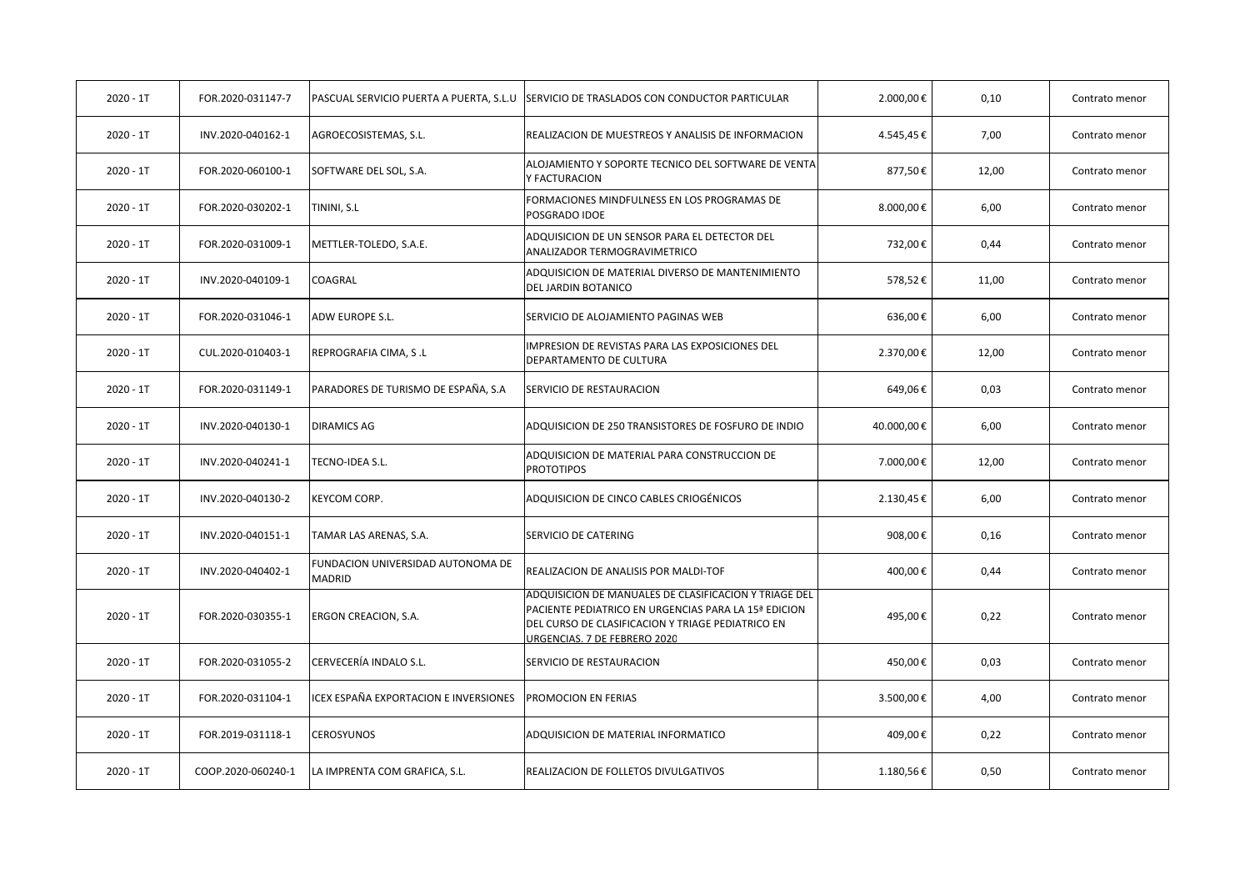| $2020 - 1T$ | FOR.2020-031147-7  | PASCUAL SERVICIO PUERTA A PUERTA, S.L.U     | SERVICIO DE TRASLADOS CON CONDUCTOR PARTICULAR                                                                                                                                                     | 2.000,00€  | 0,10  | Contrato menor |
|-------------|--------------------|---------------------------------------------|----------------------------------------------------------------------------------------------------------------------------------------------------------------------------------------------------|------------|-------|----------------|
| $2020 - 1T$ | INV.2020-040162-1  | AGROECOSISTEMAS, S.L.                       | REALIZACION DE MUESTREOS Y ANALISIS DE INFORMACION                                                                                                                                                 | 4.545,45€  | 7,00  | Contrato menor |
| $2020 - 1T$ | FOR.2020-060100-1  | SOFTWARE DEL SOL, S.A.                      | ALOJAMIENTO Y SOPORTE TECNICO DEL SOFTWARE DE VENTA<br>Y FACTURACION                                                                                                                               | 877,50€    | 12,00 | Contrato menor |
| $2020 - 1T$ | FOR.2020-030202-1  | TININI, S.L                                 | FORMACIONES MINDFULNESS EN LOS PROGRAMAS DE<br>POSGRADO IDOE                                                                                                                                       | 8.000,00€  | 6,00  | Contrato menor |
| $2020 - 1T$ | FOR.2020-031009-1  | METTLER-TOLEDO, S.A.E.                      | ADQUISICION DE UN SENSOR PARA EL DETECTOR DEL<br>ANALIZADOR TERMOGRAVIMETRICO                                                                                                                      | 732,00€    | 0,44  | Contrato menor |
| $2020 - 1T$ | INV.2020-040109-1  | COAGRAL                                     | ADQUISICION DE MATERIAL DIVERSO DE MANTENIMIENTO<br>DEL JARDIN BOTANICO                                                                                                                            | 578,52€    | 11,00 | Contrato menor |
| $2020 - 1T$ | FOR.2020-031046-1  | ADW EUROPE S.L.                             | SERVICIO DE ALOJAMIENTO PAGINAS WEB                                                                                                                                                                | 636,00€    | 6,00  | Contrato menor |
| $2020 - 1T$ | CUL.2020-010403-1  | REPROGRAFIA CIMA, S.L                       | <b>IMPRESION DE REVISTAS PARA LAS EXPOSICIONES DEL</b><br>DEPARTAMENTO DE CULTURA                                                                                                                  | 2.370,00€  | 12,00 | Contrato menor |
| $2020 - 1T$ | FOR.2020-031149-1  | PARADORES DE TURISMO DE ESPAÑA, S.A         | SERVICIO DE RESTAURACION                                                                                                                                                                           | 649,06€    | 0,03  | Contrato menor |
| $2020 - 1T$ | INV.2020-040130-1  | <b>DIRAMICS AG</b>                          | ADQUISICION DE 250 TRANSISTORES DE FOSFURO DE INDIO                                                                                                                                                | 40.000,00€ | 6,00  | Contrato menor |
| $2020 - 1T$ | INV.2020-040241-1  | TECNO-IDEA S.L.                             | ADQUISICION DE MATERIAL PARA CONSTRUCCION DE<br><b>PROTOTIPOS</b>                                                                                                                                  | 7.000,00€  | 12,00 | Contrato menor |
| $2020 - 1T$ | INV.2020-040130-2  | <b>KEYCOM CORP.</b>                         | ADQUISICION DE CINCO CABLES CRIOGÉNICOS                                                                                                                                                            | 2.130,45€  | 6,00  | Contrato menor |
| $2020 - 1T$ | INV.2020-040151-1  | TAMAR LAS ARENAS, S.A.                      | SERVICIO DE CATERING                                                                                                                                                                               | 908,00€    | 0,16  | Contrato menor |
| $2020 - 1T$ | INV.2020-040402-1  | FUNDACION UNIVERSIDAD AUTONOMA DE<br>MADRID | REALIZACION DE ANALISIS POR MALDI-TOF                                                                                                                                                              | 400,00€    | 0,44  | Contrato menor |
| $2020 - 1T$ | FOR.2020-030355-1  | ERGON CREACION, S.A.                        | ADQUISICION DE MANUALES DE CLASIFICACION Y TRIAGE DEL<br>PACIENTE PEDIATRICO EN URGENCIAS PARA LA 15ª EDICION<br>DEL CURSO DE CLASIFICACION Y TRIAGE PEDIATRICO EN<br>URGENCIAS. 7 DE FEBRERO 2020 | 495,00€    | 0,22  | Contrato menor |
| 2020 - 1T   | FOR.2020-031055-2  | CERVECERÍA INDALO S.L.                      | SERVICIO DE RESTAURACION                                                                                                                                                                           | 450,00€    | 0,03  | Contrato menor |
| $2020 - 1T$ | FOR.2020-031104-1  | CEX ESPAÑA EXPORTACION E INVERSIONES        | PROMOCION EN FERIAS                                                                                                                                                                                | 3.500,00€  | 4,00  | Contrato menor |
| $2020 - 1T$ | FOR.2019-031118-1  | <b>CEROSYUNOS</b>                           | ADQUISICION DE MATERIAL INFORMATICO                                                                                                                                                                | 409,00€    | 0,22  | Contrato menor |
| $2020 - 1T$ | COOP.2020-060240-1 | LA IMPRENTA COM GRAFICA, S.L.               | REALIZACION DE FOLLETOS DIVULGATIVOS                                                                                                                                                               | 1.180,56€  | 0,50  | Contrato menor |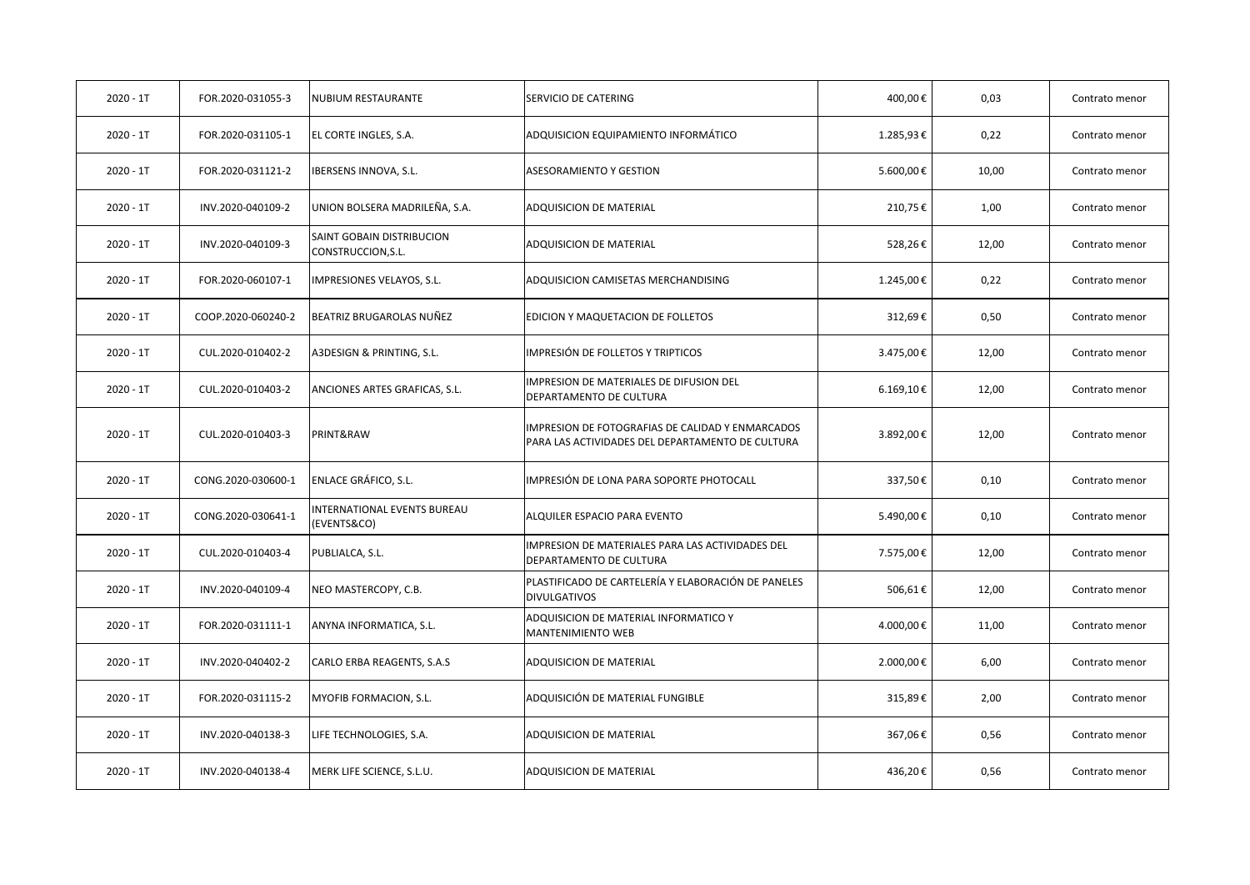| $2020 - 1T$ | FOR.2020-031055-3  | NUBIUM RESTAURANTE                              | SERVICIO DE CATERING                                                                                 | 400,00€   | 0,03  | Contrato menor |
|-------------|--------------------|-------------------------------------------------|------------------------------------------------------------------------------------------------------|-----------|-------|----------------|
| $2020 - 1T$ | FOR.2020-031105-1  | EL CORTE INGLES, S.A.                           | ADQUISICION EQUIPAMIENTO INFORMÁTICO                                                                 | 1.285,93€ | 0,22  | Contrato menor |
| $2020 - 1T$ | FOR.2020-031121-2  | IBERSENS INNOVA, S.L.                           | <b>ASESORAMIENTO Y GESTION</b>                                                                       | 5.600,00€ | 10,00 | Contrato menor |
| $2020 - 1T$ | INV.2020-040109-2  | UNION BOLSERA MADRILEÑA, S.A.                   | ADQUISICION DE MATERIAL                                                                              | 210,75€   | 1,00  | Contrato menor |
| $2020 - 1T$ | INV.2020-040109-3  | SAINT GOBAIN DISTRIBUCION<br>CONSTRUCCION, S.L. | ADQUISICION DE MATERIAL                                                                              | 528,26€   | 12,00 | Contrato menor |
| $2020 - 1T$ | FOR.2020-060107-1  | IMPRESIONES VELAYOS, S.L.                       | ADQUISICION CAMISETAS MERCHANDISING                                                                  | 1.245,00€ | 0,22  | Contrato menor |
| $2020 - 1T$ | COOP.2020-060240-2 | BEATRIZ BRUGAROLAS NUÑEZ                        | EDICION Y MAQUETACION DE FOLLETOS                                                                    | 312,69€   | 0,50  | Contrato menor |
| $2020 - 1T$ | CUL.2020-010402-2  | A3DESIGN & PRINTING, S.L.                       | IMPRESIÓN DE FOLLETOS Y TRIPTICOS                                                                    | 3.475,00€ | 12,00 | Contrato menor |
| $2020 - 1T$ | CUL.2020-010403-2  | ANCIONES ARTES GRAFICAS, S.L.                   | IMPRESION DE MATERIALES DE DIFUSION DEL<br>DEPARTAMENTO DE CULTURA                                   | 6.169,10€ | 12,00 | Contrato menor |
| $2020 - 1T$ | CUL.2020-010403-3  | PRINT&RAW                                       | IMPRESION DE FOTOGRAFIAS DE CALIDAD Y ENMARCADOS<br>PARA LAS ACTIVIDADES DEL DEPARTAMENTO DE CULTURA | 3.892,00€ | 12,00 | Contrato menor |
| $2020 - 1T$ | CONG.2020-030600-1 | ENLACE GRÁFICO, S.L.                            | IMPRESIÓN DE LONA PARA SOPORTE PHOTOCALL                                                             | 337,50€   | 0,10  | Contrato menor |
| $2020 - 1T$ | CONG.2020-030641-1 | INTERNATIONAL EVENTS BUREAU<br>(EVENTS&CO)      | ALQUILER ESPACIO PARA EVENTO                                                                         | 5.490,00€ | 0,10  | Contrato menor |
| $2020 - 1T$ | CUL.2020-010403-4  | PUBLIALCA, S.L.                                 | IMPRESION DE MATERIALES PARA LAS ACTIVIDADES DEL<br>DEPARTAMENTO DE CULTURA                          | 7.575,00€ | 12,00 | Contrato menor |
| $2020 - 1T$ | INV.2020-040109-4  | NEO MASTERCOPY, C.B.                            | PLASTIFICADO DE CARTELERÍA Y ELABORACIÓN DE PANELES<br><b>DIVULGATIVOS</b>                           | 506,61€   | 12,00 | Contrato menor |
| $2020 - 1T$ | FOR.2020-031111-1  | ANYNA INFORMATICA, S.L.                         | ADQUISICION DE MATERIAL INFORMATICO Y<br><b>MANTENIMIENTO WEB</b>                                    | 4.000,00€ | 11,00 | Contrato menor |
| 2020 - 1T   | INV.2020-040402-2  | CARLO ERBA REAGENTS, S.A.S                      | ADQUISICION DE MATERIAL                                                                              | 2.000,00€ | 6,00  | Contrato menor |
| $2020 - 1T$ | FOR.2020-031115-2  | MYOFIB FORMACION, S.L.                          | ADQUISICIÓN DE MATERIAL FUNGIBLE                                                                     | 315,89€   | 2,00  | Contrato menor |
| $2020 - 1T$ | INV.2020-040138-3  | LIFE TECHNOLOGIES, S.A.                         | ADQUISICION DE MATERIAL                                                                              | 367,06€   | 0,56  | Contrato menor |
| $2020 - 1T$ | INV.2020-040138-4  | MERK LIFE SCIENCE, S.L.U.                       | ADQUISICION DE MATERIAL                                                                              | 436,20€   | 0,56  | Contrato menor |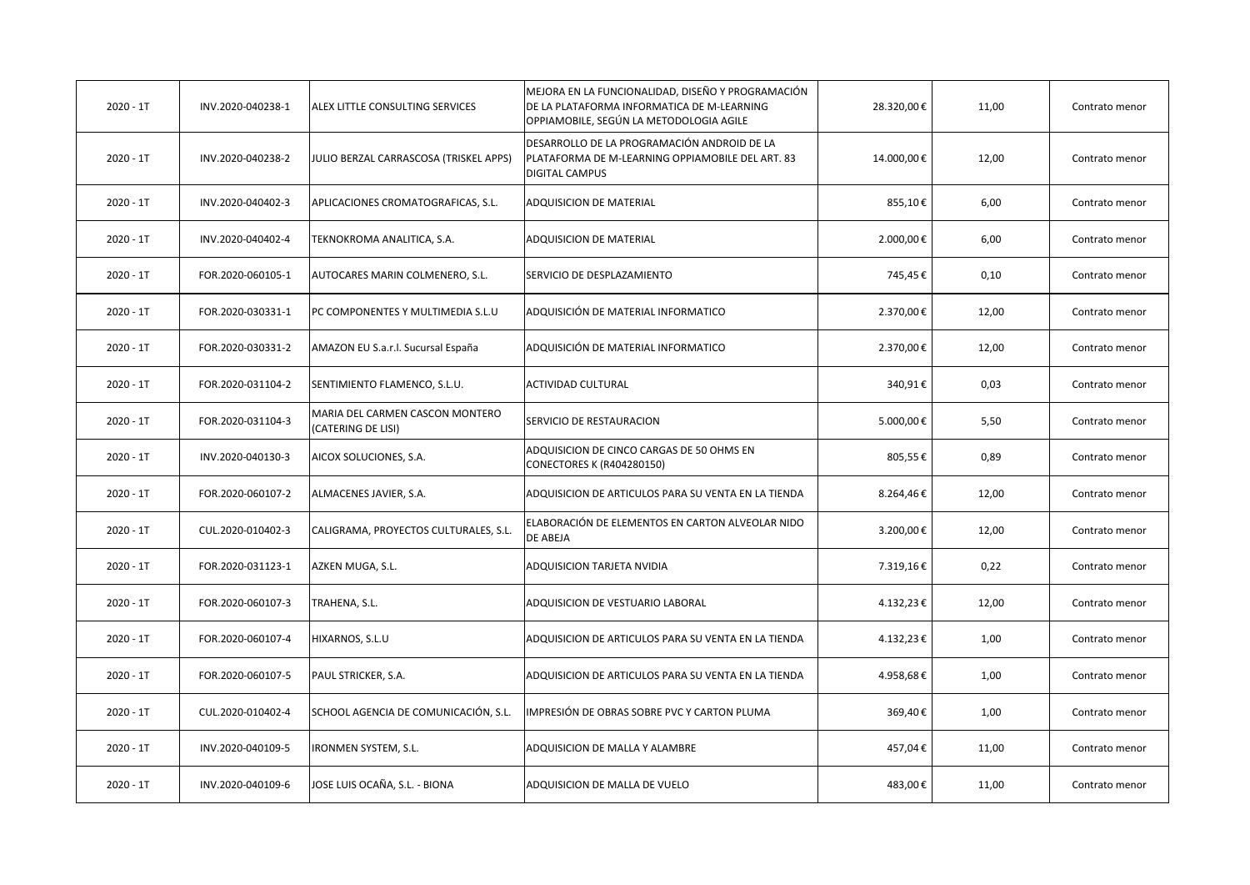| $2020 - 1T$ | INV.2020-040238-1 | ALEX LITTLE CONSULTING SERVICES                       | MEJORA EN LA FUNCIONALIDAD, DISEÑO Y PROGRAMACIÓN<br>DE LA PLATAFORMA INFORMATICA DE M-LEARNING<br>OPPIAMOBILE, SEGÚN LA METODOLOGIA AGILE | 28.320,00€ | 11,00 | Contrato menor |
|-------------|-------------------|-------------------------------------------------------|--------------------------------------------------------------------------------------------------------------------------------------------|------------|-------|----------------|
| $2020 - 1T$ | INV.2020-040238-2 | JULIO BERZAL CARRASCOSA (TRISKEL APPS)                | DESARROLLO DE LA PROGRAMACIÓN ANDROID DE LA<br>PLATAFORMA DE M-LEARNING OPPIAMOBILE DEL ART. 83<br><b>DIGITAL CAMPUS</b>                   | 14.000,00€ | 12,00 | Contrato menor |
| $2020 - 1T$ | INV.2020-040402-3 | APLICACIONES CROMATOGRAFICAS, S.L.                    | <b>ADQUISICION DE MATERIAL</b>                                                                                                             | 855,10€    | 6,00  | Contrato menor |
| $2020 - 1T$ | INV.2020-040402-4 | TEKNOKROMA ANALITICA, S.A.                            | <b>ADQUISICION DE MATERIAL</b>                                                                                                             | 2.000,00€  | 6,00  | Contrato menor |
| $2020 - 1T$ | FOR.2020-060105-1 | AUTOCARES MARIN COLMENERO, S.L.                       | SERVICIO DE DESPLAZAMIENTO                                                                                                                 | 745,45€    | 0,10  | Contrato menor |
| $2020 - 1T$ | FOR.2020-030331-1 | PC COMPONENTES Y MULTIMEDIA S.L.U                     | ADQUISICIÓN DE MATERIAL INFORMATICO                                                                                                        | 2.370,00€  | 12,00 | Contrato menor |
| $2020 - 1T$ | FOR.2020-030331-2 | AMAZON EU S.a.r.l. Sucursal España                    | ADQUISICIÓN DE MATERIAL INFORMATICO                                                                                                        | 2.370,00€  | 12,00 | Contrato menor |
| $2020 - 1T$ | FOR.2020-031104-2 | SENTIMIENTO FLAMENCO, S.L.U.                          | <b>ACTIVIDAD CULTURAL</b>                                                                                                                  | 340,91€    | 0,03  | Contrato menor |
| $2020 - 1T$ | FOR.2020-031104-3 | MARIA DEL CARMEN CASCON MONTERO<br>(CATERING DE LISI) | SERVICIO DE RESTAURACION                                                                                                                   | 5.000,00€  | 5,50  | Contrato menor |
| $2020 - 1T$ | INV.2020-040130-3 | AICOX SOLUCIONES, S.A.                                | ADQUISICION DE CINCO CARGAS DE 50 OHMS EN<br><b>CONECTORES K (R404280150)</b>                                                              | 805,55€    | 0,89  | Contrato menor |
| $2020 - 1T$ | FOR.2020-060107-2 | ALMACENES JAVIER, S.A.                                | ADQUISICION DE ARTICULOS PARA SU VENTA EN LA TIENDA                                                                                        | 8.264,46€  | 12,00 | Contrato menor |
| $2020 - 1T$ | CUL.2020-010402-3 | CALIGRAMA, PROYECTOS CULTURALES, S.L.                 | ELABORACIÓN DE ELEMENTOS EN CARTON ALVEOLAR NIDO<br>DE ABEJA                                                                               | 3.200,00€  | 12,00 | Contrato menor |
| $2020 - 1T$ | FOR.2020-031123-1 | AZKEN MUGA, S.L.                                      | ADQUISICION TARJETA NVIDIA                                                                                                                 | 7.319,16€  | 0,22  | Contrato menor |
| $2020 - 1T$ | FOR.2020-060107-3 | TRAHENA, S.L.                                         | ADQUISICION DE VESTUARIO LABORAL                                                                                                           | 4.132,23€  | 12,00 | Contrato menor |
| $2020 - 1T$ | FOR.2020-060107-4 | HIXARNOS, S.L.U                                       | ADQUISICION DE ARTICULOS PARA SU VENTA EN LA TIENDA                                                                                        | 4.132,23€  | 1,00  | Contrato menor |
| $2020 - 1T$ | FOR.2020-060107-5 | PAUL STRICKER, S.A.                                   | ADQUISICION DE ARTICULOS PARA SU VENTA EN LA TIENDA                                                                                        | 4.958,68€  | 1,00  | Contrato menor |
| $2020 - 1T$ | CUL.2020-010402-4 | SCHOOL AGENCIA DE COMUNICACIÓN, S.L.                  | IMPRESIÓN DE OBRAS SOBRE PVC Y CARTON PLUMA                                                                                                | 369,40€    | 1,00  | Contrato menor |
| $2020 - 1T$ | INV.2020-040109-5 | <b>RONMEN SYSTEM, S.L.</b>                            | ADQUISICION DE MALLA Y ALAMBRE                                                                                                             | 457,04€    | 11,00 | Contrato menor |
| $2020 - 1T$ | INV.2020-040109-6 | JOSE LUIS OCAÑA, S.L. - BIONA                         | ADQUISICION DE MALLA DE VUELO                                                                                                              | 483,00€    | 11,00 | Contrato menor |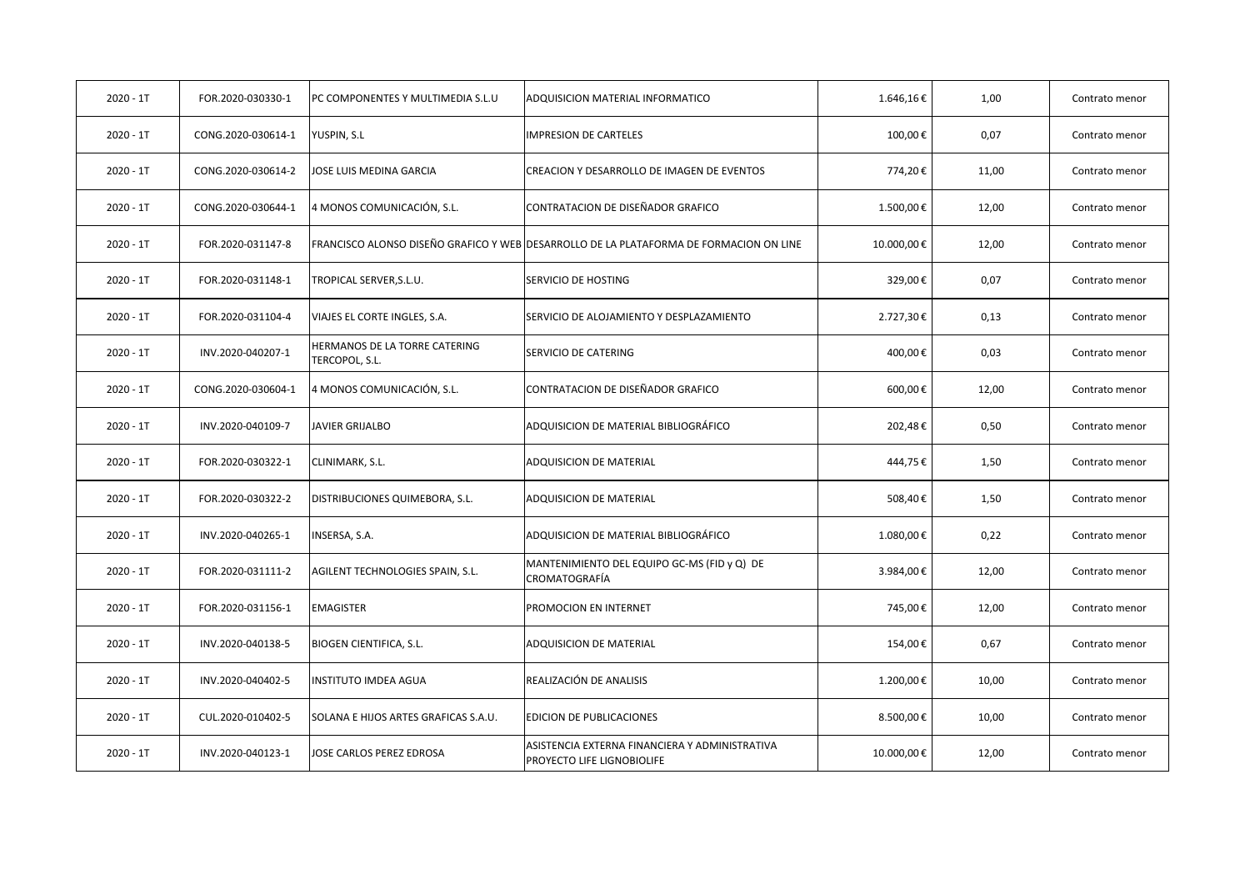| $2020 - 1T$ | FOR.2020-030330-1  | PC COMPONENTES Y MULTIMEDIA S.L.U               | ADQUISICION MATERIAL INFORMATICO                                                       | 1.646,16€  | 1,00  | Contrato menor |
|-------------|--------------------|-------------------------------------------------|----------------------------------------------------------------------------------------|------------|-------|----------------|
| $2020 - 1T$ | CONG.2020-030614-1 | YUSPIN, S.L                                     | <b>IMPRESION DE CARTELES</b>                                                           | 100,00€    | 0,07  | Contrato menor |
| $2020 - 1T$ | CONG.2020-030614-2 | JOSE LUIS MEDINA GARCIA                         | CREACION Y DESARROLLO DE IMAGEN DE EVENTOS                                             | 774,20€    | 11,00 | Contrato menor |
| $2020 - 1T$ | CONG.2020-030644-1 | 4 MONOS COMUNICACIÓN, S.L.                      | CONTRATACION DE DISEÑADOR GRAFICO                                                      | 1.500,00€  | 12,00 | Contrato menor |
| $2020 - 1T$ | FOR.2020-031147-8  |                                                 | FRANCISCO ALONSO DISEÑO GRAFICO Y WEB DESARROLLO DE LA PLATAFORMA DE FORMACION ON LINE | 10.000,00€ | 12,00 | Contrato menor |
| $2020 - 1T$ | FOR.2020-031148-1  | TROPICAL SERVER, S.L.U.                         | SERVICIO DE HOSTING                                                                    | 329,00€    | 0,07  | Contrato menor |
| $2020 - 1T$ | FOR.2020-031104-4  | VIAJES EL CORTE INGLES, S.A.                    | SERVICIO DE ALOJAMIENTO Y DESPLAZAMIENTO                                               | 2.727,30€  | 0,13  | Contrato menor |
| $2020 - 1T$ | INV.2020-040207-1  | HERMANOS DE LA TORRE CATERING<br>TERCOPOL, S.L. | SERVICIO DE CATERING                                                                   | 400,00€    | 0,03  | Contrato menor |
| $2020 - 1T$ | CONG.2020-030604-1 | 4 MONOS COMUNICACIÓN, S.L.                      | CONTRATACION DE DISEÑADOR GRAFICO                                                      | 600,00€    | 12,00 | Contrato menor |
| $2020 - 1T$ | INV.2020-040109-7  | <b>JAVIER GRIJALBO</b>                          | ADQUISICION DE MATERIAL BIBLIOGRÁFICO                                                  | 202,48€    | 0,50  | Contrato menor |
| $2020 - 1T$ | FOR.2020-030322-1  | CLINIMARK, S.L.                                 | ADQUISICION DE MATERIAL                                                                | 444,75€    | 1,50  | Contrato menor |
| $2020 - 1T$ | FOR.2020-030322-2  | DISTRIBUCIONES QUIMEBORA, S.L.                  | ADQUISICION DE MATERIAL                                                                | 508,40€    | 1,50  | Contrato menor |
| $2020 - 1T$ | INV.2020-040265-1  | INSERSA, S.A.                                   | ADQUISICION DE MATERIAL BIBLIOGRÁFICO                                                  | 1.080,00€  | 0,22  | Contrato menor |
| $2020 - 1T$ | FOR.2020-031111-2  | AGILENT TECHNOLOGIES SPAIN, S.L.                | MANTENIMIENTO DEL EQUIPO GC-MS (FID y Q) DE<br>CROMATOGRAFÍA                           | 3.984,00€  | 12,00 | Contrato menor |
| $2020 - 1T$ | FOR.2020-031156-1  | <b>EMAGISTER</b>                                | PROMOCION EN INTERNET                                                                  | 745,00€    | 12,00 | Contrato menor |
| $2020 - 1T$ | INV.2020-040138-5  | <b>BIOGEN CIENTIFICA, S.L.</b>                  | ADQUISICION DE MATERIAL                                                                | 154,00€    | 0,67  | Contrato menor |
| $2020 - 1T$ | INV.2020-040402-5  | INSTITUTO IMDEA AGUA                            | REALIZACIÓN DE ANALISIS                                                                | 1.200,00€  | 10,00 | Contrato menor |
| $2020 - 1T$ | CUL.2020-010402-5  | SOLANA E HIJOS ARTES GRAFICAS S.A.U.            | <b>EDICION DE PUBLICACIONES</b>                                                        | 8.500,00€  | 10,00 | Contrato menor |
| $2020 - 1T$ | INV.2020-040123-1  | JOSE CARLOS PEREZ EDROSA                        | ASISTENCIA EXTERNA FINANCIERA Y ADMINISTRATIVA<br>PROYECTO LIFE LIGNOBIOLIFE           | 10.000,00€ | 12,00 | Contrato menor |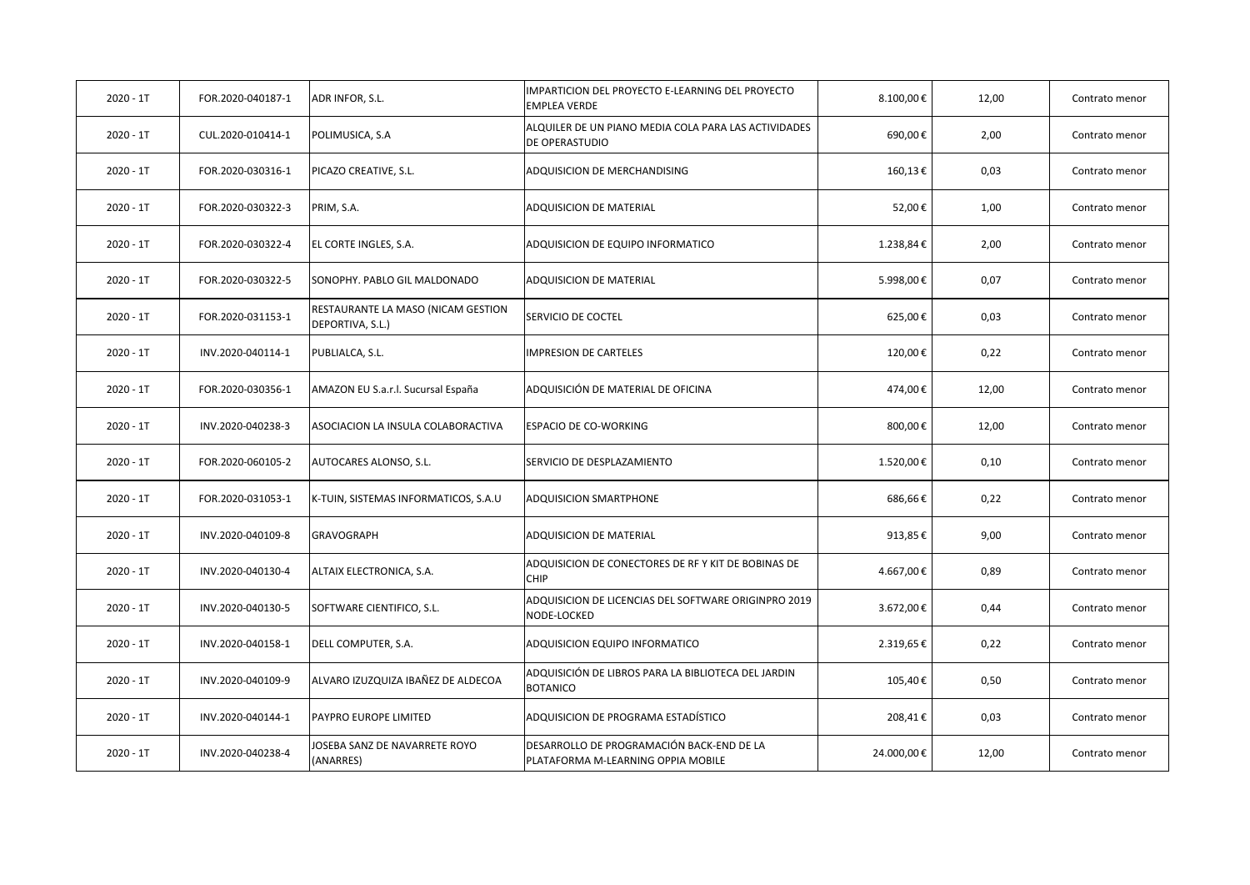| $2020 - 1T$ | FOR.2020-040187-1 | ADR INFOR, S.L.                                        | IMPARTICION DEL PROYECTO E-LEARNING DEL PROYECTO<br><b>EMPLEA VERDE</b>         | 8.100,00€  | 12,00 | Contrato menor |
|-------------|-------------------|--------------------------------------------------------|---------------------------------------------------------------------------------|------------|-------|----------------|
| $2020 - 1T$ | CUL.2020-010414-1 | POLIMUSICA, S.A                                        | ALQUILER DE UN PIANO MEDIA COLA PARA LAS ACTIVIDADES<br>DE OPERASTUDIO          | 690,00€    | 2,00  | Contrato menor |
| $2020 - 1T$ | FOR.2020-030316-1 | PICAZO CREATIVE, S.L.                                  | ADQUISICION DE MERCHANDISING                                                    | 160,13€    | 0,03  | Contrato menor |
| $2020 - 1T$ | FOR.2020-030322-3 | PRIM, S.A.                                             | <b>ADQUISICION DE MATERIAL</b>                                                  | 52,00€     | 1,00  | Contrato menor |
| $2020 - 1T$ | FOR.2020-030322-4 | EL CORTE INGLES, S.A.                                  | ADQUISICION DE EQUIPO INFORMATICO                                               | 1.238,84€  | 2,00  | Contrato menor |
| $2020 - 1T$ | FOR.2020-030322-5 | SONOPHY. PABLO GIL MALDONADO                           | ADQUISICION DE MATERIAL                                                         | 5.998,00€  | 0,07  | Contrato menor |
| $2020 - 1T$ | FOR.2020-031153-1 | RESTAURANTE LA MASO (NICAM GESTION<br>DEPORTIVA, S.L.) | SERVICIO DE COCTEL                                                              | 625,00€    | 0,03  | Contrato menor |
| $2020 - 1T$ | INV.2020-040114-1 | PUBLIALCA, S.L.                                        | <b>IMPRESION DE CARTELES</b>                                                    | 120,00€    | 0,22  | Contrato menor |
| $2020 - 1T$ | FOR.2020-030356-1 | AMAZON EU S.a.r.l. Sucursal España                     | ADQUISICIÓN DE MATERIAL DE OFICINA                                              | 474,00€    | 12,00 | Contrato menor |
| $2020 - 1T$ | INV.2020-040238-3 | ASOCIACION LA INSULA COLABORACTIVA                     | <b>ESPACIO DE CO-WORKING</b>                                                    | 800,00€    | 12,00 | Contrato menor |
| $2020 - 1T$ | FOR.2020-060105-2 | AUTOCARES ALONSO, S.L.                                 | SERVICIO DE DESPLAZAMIENTO                                                      | 1.520,00€  | 0,10  | Contrato menor |
| $2020 - 1T$ | FOR.2020-031053-1 | K-TUIN, SISTEMAS INFORMATICOS, S.A.U                   | ADQUISICION SMARTPHONE                                                          | 686,66€    | 0,22  | Contrato menor |
| $2020 - 1T$ | INV.2020-040109-8 | GRAVOGRAPH                                             | ADQUISICION DE MATERIAL                                                         | 913,85€    | 9,00  | Contrato menor |
| $2020 - 1T$ | INV.2020-040130-4 | ALTAIX ELECTRONICA, S.A.                               | ADQUISICION DE CONECTORES DE RF Y KIT DE BOBINAS DE<br><b>CHIP</b>              | 4.667,00€  | 0,89  | Contrato menor |
| $2020 - 1T$ | INV.2020-040130-5 | SOFTWARE CIENTIFICO, S.L.                              | ADQUISICION DE LICENCIAS DEL SOFTWARE ORIGINPRO 2019<br>NODE-LOCKED             | 3.672,00€  | 0,44  | Contrato menor |
| $2020 - 1T$ | INV.2020-040158-1 | DELL COMPUTER, S.A.                                    | ADQUISICION EQUIPO INFORMATICO                                                  | 2.319,65€  | 0,22  | Contrato menor |
| $2020 - 1T$ | INV.2020-040109-9 | ALVARO IZUZQUIZA IBAÑEZ DE ALDECOA                     | ADQUISICIÓN DE LIBROS PARA LA BIBLIOTECA DEL JARDIN<br><b>BOTANICO</b>          | 105,40€    | 0,50  | Contrato menor |
| $2020 - 1T$ | INV.2020-040144-1 | PAYPRO EUROPE LIMITED                                  | ADQUISICION DE PROGRAMA ESTADÍSTICO                                             | 208,41€    | 0,03  | Contrato menor |
| $2020 - 1T$ | INV.2020-040238-4 | OSEBA SANZ DE NAVARRETE ROYO<br>(ANARRES)              | DESARROLLO DE PROGRAMACIÓN BACK-END DE LA<br>PLATAFORMA M-LEARNING OPPIA MOBILE | 24.000,00€ | 12,00 | Contrato menor |